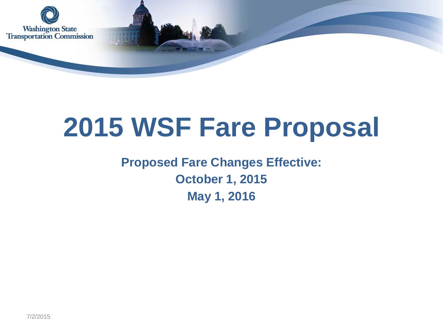

# **2015 WSF Fare Proposal**

### **Proposed Fare Changes Effective: October 1, 2015 May 1, 2016**

7/2/2015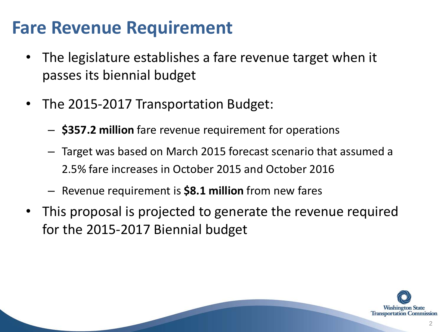### **Fare Revenue Requirement**

- The legislature establishes a fare revenue target when it passes its biennial budget
- The 2015-2017 Transportation Budget:
	- **\$357.2 million** fare revenue requirement for operations
	- Target was based on March 2015 forecast scenario that assumed a 2.5% fare increases in October 2015 and October 2016
	- Revenue requirement is **\$8.1 million** from new fares
- This proposal is projected to generate the revenue required for the 2015-2017 Biennial budget

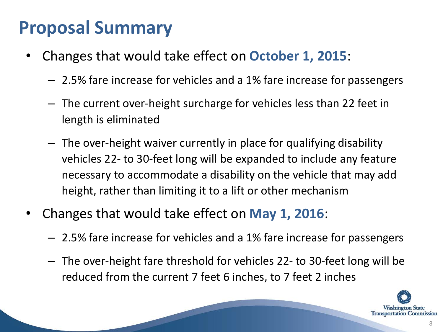## **Proposal Summary**

- Changes that would take effect on **October 1, 2015**:
	- 2.5% fare increase for vehicles and a 1% fare increase for passengers
	- The current over-height surcharge for vehicles less than 22 feet in length is eliminated
	- The over-height waiver currently in place for qualifying disability vehicles 22- to 30-feet long will be expanded to include any feature necessary to accommodate a disability on the vehicle that may add height, rather than limiting it to a lift or other mechanism
- Changes that would take effect on **May 1, 2016**:
	- 2.5% fare increase for vehicles and a 1% fare increase for passengers
	- The over-height fare threshold for vehicles 22- to 30-feet long will be reduced from the current 7 feet 6 inches, to 7 feet 2 inches

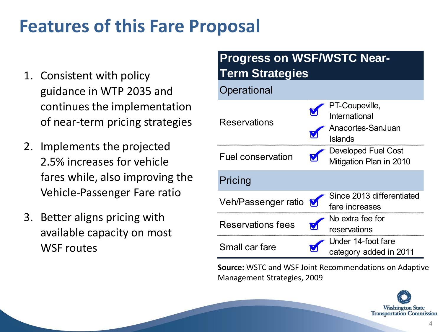### **Features of this Fare Proposal**

- 1. Consistent with policy guidance in WTP 2035 and continues the implementation of near-term pricing strategies
- 2. Implements the projected 2.5% increases for vehicle fares while, also improving the Vehicle-Passenger Fare ratio
- 3. Better aligns pricing with available capacity on most WSF routes

#### Fuel conservation Veh/Passenger ratio Reservations fees Small car fare No extra fee for reservations Under 14-foot fare category added in 2011 Reservations Developed Fuel Cost Mitigation Plan in 2010 **Pricing Progress on WSF/WSTC Near-Term Strategies Operational** PT-Coupeville, International Anacortes-SanJuan Islands Since 2013 differentiated fare increases

**Source:** WSTC and WSF Joint Recommendations on Adaptive Management Strategies, 2009

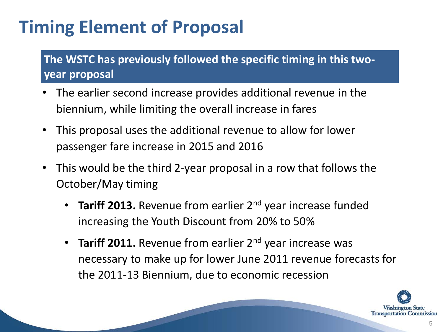## **Timing Element of Proposal**

#### **The WSTC has previously followed the specific timing in this twoyear proposal**

- The earlier second increase provides additional revenue in the biennium, while limiting the overall increase in fares
- This proposal uses the additional revenue to allow for lower passenger fare increase in 2015 and 2016
- This would be the third 2-year proposal in a row that follows the October/May timing
	- **Tariff 2013.** Revenue from earlier 2<sup>nd</sup> year increase funded increasing the Youth Discount from 20% to 50%
	- **Tariff 2011.** Revenue from earlier 2<sup>nd</sup> year increase was necessary to make up for lower June 2011 revenue forecasts for the 2011-13 Biennium, due to economic recession

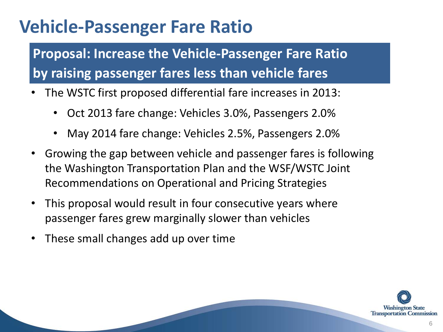### **Vehicle-Passenger Fare Ratio**

**Proposal: Increase the Vehicle-Passenger Fare Ratio by raising passenger fares less than vehicle fares** 

- The WSTC first proposed differential fare increases in 2013:
	- Oct 2013 fare change: Vehicles 3.0%, Passengers 2.0%
	- May 2014 fare change: Vehicles 2.5%, Passengers 2.0%
- Growing the gap between vehicle and passenger fares is following the Washington Transportation Plan and the WSF/WSTC Joint Recommendations on Operational and Pricing Strategies
- This proposal would result in four consecutive years where passenger fares grew marginally slower than vehicles
- These small changes add up over time

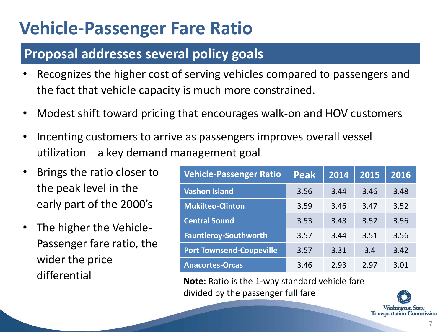### **Vehicle-Passenger Fare Ratio**

### **Proposal addresses several policy goals**

- Recognizes the higher cost of serving vehicles compared to passengers and the fact that vehicle capacity is much more constrained.
- Modest shift toward pricing that encourages walk-on and HOV customers
- Incenting customers to arrive as passengers improves overall vessel utilization – a key demand management goal
- Brings the ratio closer to the peak level in the early part of the 2000's
- The higher the Vehicle-Passenger fare ratio, the wider the price differential

| <b>Vehicle-Passenger Ratio</b>  | <b>Peak</b> | 2014 | 2015 | 2016 |
|---------------------------------|-------------|------|------|------|
| <b>Vashon Island</b>            | 3.56        | 3.44 | 3.46 | 3.48 |
| <b>Mukilteo-Clinton</b>         | 3.59        | 3.46 | 3.47 | 3.52 |
| <b>Central Sound</b>            | 3.53        | 3.48 | 3.52 | 3.56 |
| <b>Fauntleroy-Southworth</b>    | 3.57        | 3.44 | 3.51 | 3.56 |
| <b>Port Townsend-Coupeville</b> | 3.57        | 3.31 | 3.4  | 3.42 |
| <b>Anacortes-Orcas</b>          | 3.46        | 2.93 | 2.97 | 3.01 |

**Note:** Ratio is the 1-way standard vehicle fare divided by the passenger full fare

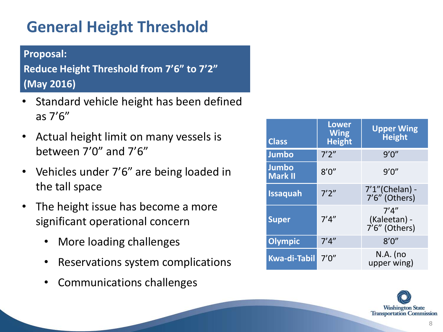### **General Height Threshold**

#### **Proposal:**

**Reduce Height Threshold from 7'6" to 7'2" (May 2016)** 

- Standard vehicle height has been defined as 7'6"
- Actual height limit on many vessels is between 7'0" and 7'6"
- Vehicles under 7'6" are being loaded in the tall space
- The height issue has become a more significant operational concern
	- More loading challenges
	- Reservations system complications
	- Communications challenges

| <b>Class</b>                   | <b>Lower</b><br><b>Wing</b><br><b>Height</b> | <b>Upper Wing</b><br><b>Height</b>     |
|--------------------------------|----------------------------------------------|----------------------------------------|
| <b>Jumbo</b>                   | 7'2''                                        | 9'0''                                  |
| <b>Jumbo</b><br><b>Mark II</b> | 8'0''                                        | 9'0''                                  |
| <b>Issaquah</b>                | 7'2''                                        | 7'1"(Chelan) -<br>7'6" (Others)        |
| <b>Super</b>                   | 7'4''                                        | 7'4''<br>(Kaleetan) -<br>7'6" (Others) |
| <b>Olympic</b>                 | 7'4''                                        | 8'0''                                  |
| <b>Kwa-di-Tabil</b>            | 7'0''                                        | $N.A.$ (no<br>upper wing)              |

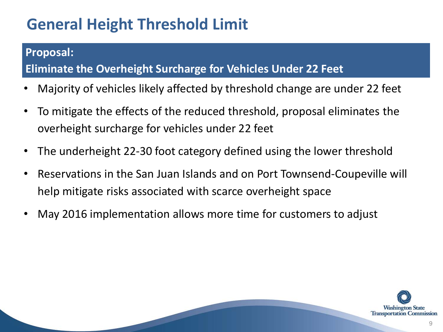### **General Height Threshold Limit**

#### **Proposal:**

#### **Eliminate the Overheight Surcharge for Vehicles Under 22 Feet**

- Majority of vehicles likely affected by threshold change are under 22 feet
- To mitigate the effects of the reduced threshold, proposal eliminates the overheight surcharge for vehicles under 22 feet
- The underheight 22-30 foot category defined using the lower threshold
- Reservations in the San Juan Islands and on Port Townsend-Coupeville will help mitigate risks associated with scarce overheight space
- May 2016 implementation allows more time for customers to adjust

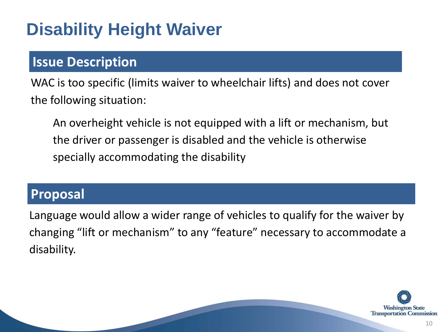### **Disability Height Waiver**

### **Issue Description**

WAC is too specific (limits waiver to wheelchair lifts) and does not cover the following situation:

An overheight vehicle is not equipped with a lift or mechanism, but the driver or passenger is disabled and the vehicle is otherwise specially accommodating the disability

#### **Proposal**

Language would allow a wider range of vehicles to qualify for the waiver by changing "lift or mechanism" to any "feature" necessary to accommodate a disability.